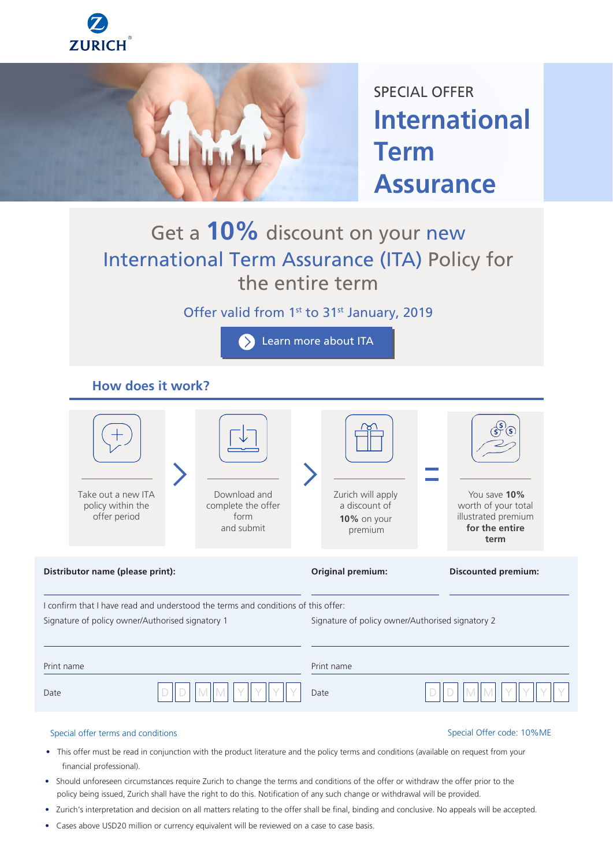



SPECIAL OFFER **International Term Assurance**

# Get a **10%** discount on your new International Term Assurance (ITA) Policy for the entire term

Offer valid from 1<sup>st</sup> to 31<sup>st</sup> January, 2019

**[Learn more about ITA](https://www.zurich.ae/home/product-ita/)** 

## **How does it work?**

|                                                                                                                                       | Take out a new ITA<br>policy within the<br>offer period |  | Download and<br>complete the offer<br>form<br>and submit |      | Zurich will apply<br>a discount of<br>10% on your<br>premium |  | You save 10%<br>worth of your total<br>illustrated premium<br>for the entire<br>term |  |
|---------------------------------------------------------------------------------------------------------------------------------------|---------------------------------------------------------|--|----------------------------------------------------------|------|--------------------------------------------------------------|--|--------------------------------------------------------------------------------------|--|
| Distributor name (please print):                                                                                                      |                                                         |  |                                                          |      | <b>Original premium:</b>                                     |  | <b>Discounted premium:</b>                                                           |  |
| I confirm that I have read and understood the terms and conditions of this offer:<br>Signature of policy owner/Authorised signatory 1 |                                                         |  |                                                          |      | Signature of policy owner/Authorised signatory 2             |  |                                                                                      |  |
| Print name                                                                                                                            |                                                         |  |                                                          |      | Print name                                                   |  |                                                                                      |  |
| Date                                                                                                                                  |                                                         |  |                                                          | Date |                                                              |  |                                                                                      |  |

### Special offer terms and conditions Special Offer code: 10%ME

- This offer must be read in conjunction with the product literature and the policy terms and conditions (available on request from your financial professional).
- Should unforeseen circumstances require Zurich to change the terms and conditions of the offer or withdraw the offer prior to the policy being issued, Zurich shall have the right to do this. Notification of any such change or withdrawal will be provided.
- Zurich's interpretation and decision on all matters relating to the offer shall be final, binding and conclusive. No appeals will be accepted.
- Cases above USD20 million or currency equivalent will be reviewed on a case to case basis.